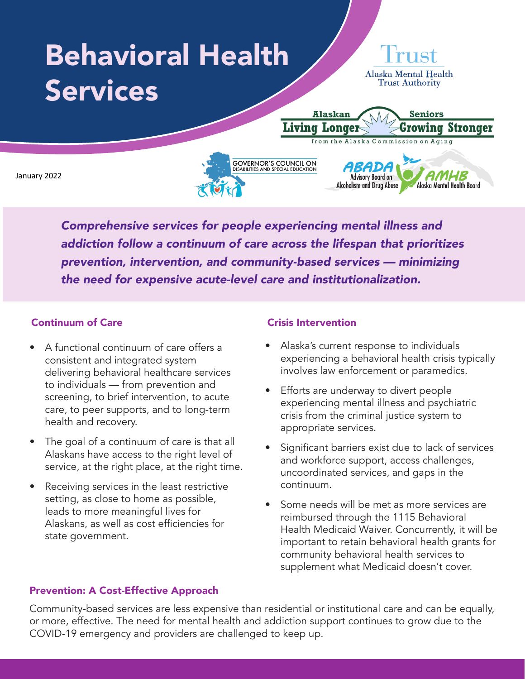## Behavioral Health **Alaska Mental Health Trust Authority** Services **Seniors Alaskan Living Longer** Growing Stronger from the Alaska Commission on Aging **GOVERNOR'S COUNCIL ON**<br>DISABILITIES AND SPECIAL EDUCATION ABADA January 2022**Advisory Board on** Alcoholism and Drug Abuse Alaska Mental Health Board

*Comprehensive services for people experiencing mental illness and addiction follow a continuum of care across the lifespan that prioritizes prevention, intervention, and community-based services — minimizing the need for expensive acute-level care and institutionalization.*

# Continuum of Care

- A functional continuum of care offers a consistent and integrated system delivering behavioral healthcare services to individuals — from prevention and screening, to brief intervention, to acute care, to peer supports, and to long-term health and recovery.
- The goal of a continuum of care is that all Alaskans have access to the right level of service, at the right place, at the right time.
- Receiving services in the least restrictive setting, as close to home as possible, leads to more meaningful lives for Alaskans, as well as cost efficiencies for state government.

## Crisis Intervention

- Alaska's current response to individuals experiencing a behavioral health crisis typically involves law enforcement or paramedics.
- Efforts are underway to divert people experiencing mental illness and psychiatric crisis from the criminal justice system to appropriate services.
- Significant barriers exist due to lack of services and workforce support, access challenges, uncoordinated services, and gaps in the continuum.
- Some needs will be met as more services are reimbursed through the 1115 Behavioral Health Medicaid Waiver. Concurrently, it will be important to retain behavioral health grants for community behavioral health services to supplement what Medicaid doesn't cover.

# Prevention: A Cost-Effective Approach

Community-based services are less expensive than residential or institutional care and can be equally, or more, effective. The need for mental health and addiction support continues to grow due to the COVID-19 emergency and providers are challenged to keep up.